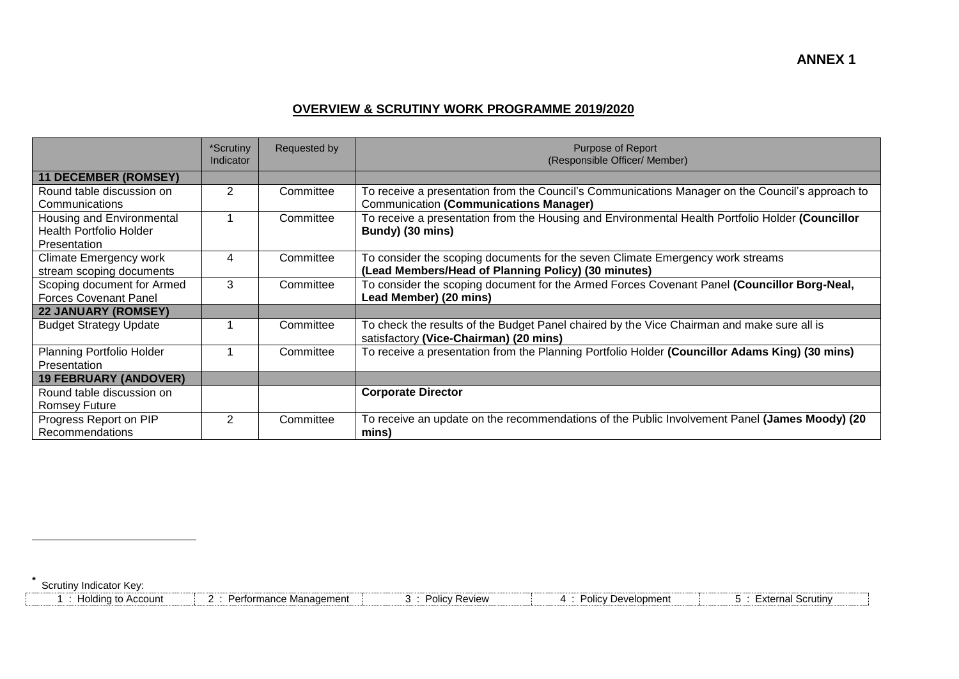## **OVERVIEW & SCRUTINY WORK PROGRAMME 2019/2020**

|                                                                             | *Scrutiny<br>Indicator | Requested by | Purpose of Report<br>(Responsible Officer/ Member)                                                                                                |
|-----------------------------------------------------------------------------|------------------------|--------------|---------------------------------------------------------------------------------------------------------------------------------------------------|
| <b>11 DECEMBER (ROMSEY)</b>                                                 |                        |              |                                                                                                                                                   |
| Round table discussion on<br>Communications                                 | 2                      | Committee    | To receive a presentation from the Council's Communications Manager on the Council's approach to<br><b>Communication (Communications Manager)</b> |
| Housing and Environmental<br><b>Health Portfolio Holder</b><br>Presentation |                        | Committee    | To receive a presentation from the Housing and Environmental Health Portfolio Holder (Councillor<br>Bundy) (30 mins)                              |
| <b>Climate Emergency work</b><br>stream scoping documents                   | 4                      | Committee    | To consider the scoping documents for the seven Climate Emergency work streams<br>(Lead Members/Head of Planning Policy) (30 minutes)             |
| Scoping document for Armed<br><b>Forces Covenant Panel</b>                  | 3                      | Committee    | To consider the scoping document for the Armed Forces Covenant Panel (Councillor Borg-Neal,<br>Lead Member) (20 mins)                             |
| <b>22 JANUARY (ROMSEY)</b>                                                  |                        |              |                                                                                                                                                   |
| <b>Budget Strategy Update</b>                                               |                        | Committee    | To check the results of the Budget Panel chaired by the Vice Chairman and make sure all is<br>satisfactory (Vice-Chairman) (20 mins)              |
| Planning Portfolio Holder<br>Presentation                                   |                        | Committee    | To receive a presentation from the Planning Portfolio Holder (Councillor Adams King) (30 mins)                                                    |
| <b>19 FEBRUARY (ANDOVER)</b>                                                |                        |              |                                                                                                                                                   |
| Round table discussion on<br><b>Romsey Future</b>                           |                        |              | <b>Corporate Director</b>                                                                                                                         |
| Progress Report on PIP<br>Recommendations                                   | $\overline{2}$         | Committee    | To receive an update on the recommendations of the Public Involvement Panel (James Moody) (20<br>mins)                                            |

Scrutiny Indicator Key:

**\***

 $\overline{a}$ 

| ז Account<br>to<br><b>10</b> ldine | ⊧ Manaɑement<br>Pertormance<br>,,,,,,,,,<br>. | RAVIAW<br>15716W<br>,,,,, | Jevelopment<br>ulluv | Scrutin<br>:xternal |
|------------------------------------|-----------------------------------------------|---------------------------|----------------------|---------------------|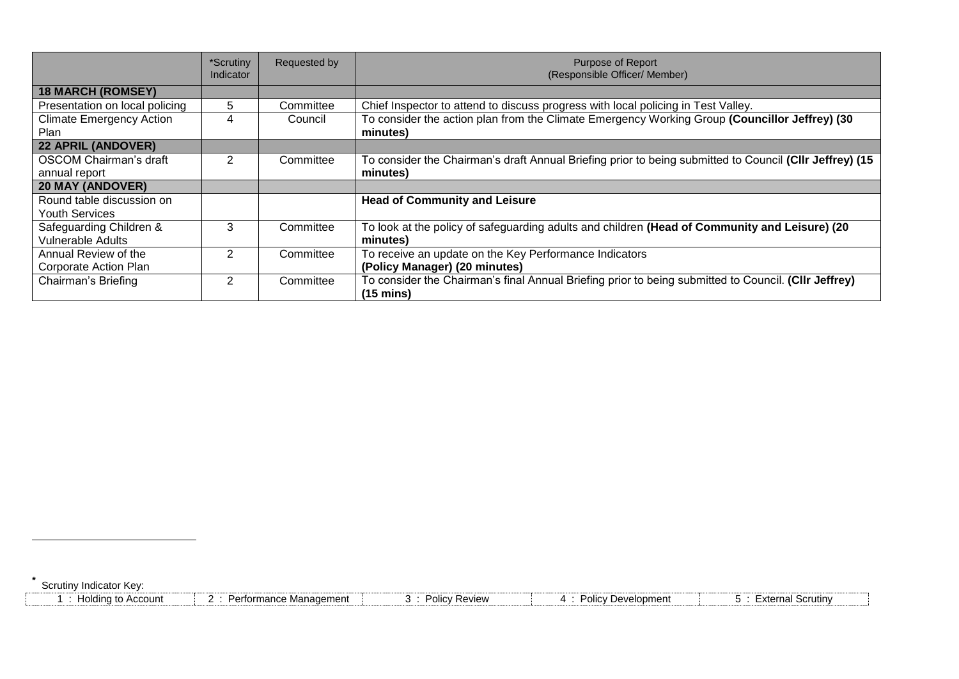|                                 | *Scrutiny<br>Indicator | Requested by | <b>Purpose of Report</b><br>(Responsible Officer/ Member)                                                                   |
|---------------------------------|------------------------|--------------|-----------------------------------------------------------------------------------------------------------------------------|
| <b>18 MARCH (ROMSEY)</b>        |                        |              |                                                                                                                             |
| Presentation on local policing  | 5                      | Committee    | Chief Inspector to attend to discuss progress with local policing in Test Valley.                                           |
| <b>Climate Emergency Action</b> | 4                      | Council      | To consider the action plan from the Climate Emergency Working Group (Councillor Jeffrey) (30                               |
| <b>Plan</b>                     |                        |              | minutes)                                                                                                                    |
| <b>22 APRIL (ANDOVER)</b>       |                        |              |                                                                                                                             |
| <b>OSCOM Chairman's draft</b>   | 2                      | Committee    | To consider the Chairman's draft Annual Briefing prior to being submitted to Council (CIIr Jeffrey) (15                     |
| annual report                   |                        |              | minutes)                                                                                                                    |
| <b>20 MAY (ANDOVER)</b>         |                        |              |                                                                                                                             |
| Round table discussion on       |                        |              | <b>Head of Community and Leisure</b>                                                                                        |
| <b>Youth Services</b>           |                        |              |                                                                                                                             |
| Safeguarding Children &         | 3                      | Committee    | To look at the policy of safeguarding adults and children (Head of Community and Leisure) (20                               |
| <b>Vulnerable Adults</b>        |                        |              | minutes)                                                                                                                    |
| Annual Review of the            | $\mathcal{P}$          | Committee    | To receive an update on the Key Performance Indicators                                                                      |
| Corporate Action Plan           |                        |              | (Policy Manager) (20 minutes)                                                                                               |
| Chairman's Briefing             | 2                      | Committee    | To consider the Chairman's final Annual Briefing prior to being submitted to Council. (CIIr Jeffrey)<br>$(15 \text{ mins})$ |

Scrutiny Indicator Key:

**\***

 $\overline{a}$ 

| <b>Holding to Account</b> | Performance Management | <b>Policy Review</b> | Policy Development | <b>External Scrutiny</b> |
|---------------------------|------------------------|----------------------|--------------------|--------------------------|
|---------------------------|------------------------|----------------------|--------------------|--------------------------|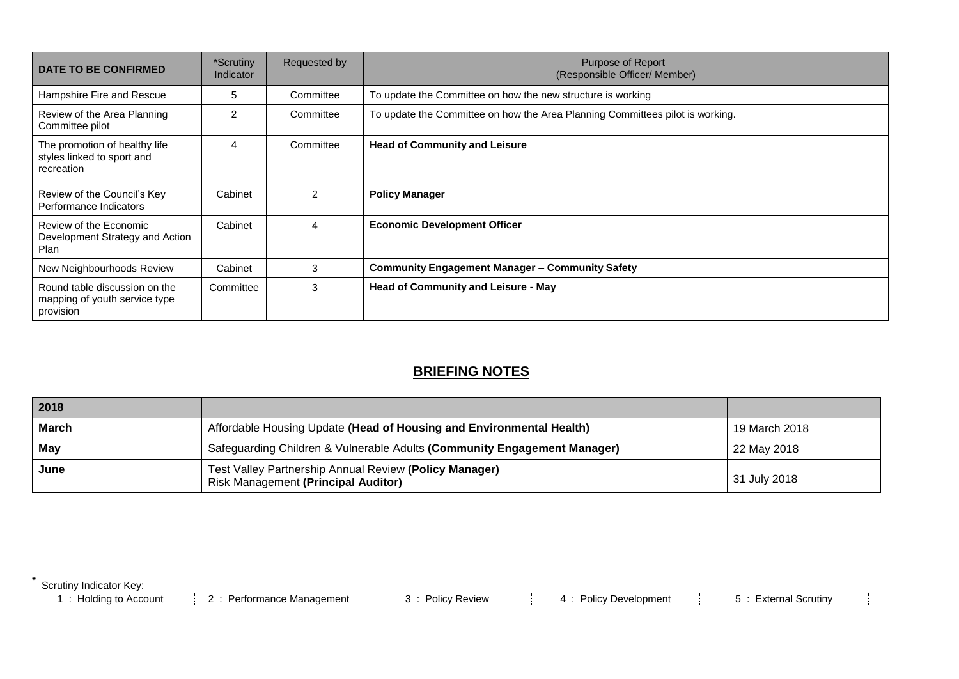| <b>DATE TO BE CONFIRMED</b>                                                 | *Scrutiny<br>Indicator | Requested by  | <b>Purpose of Report</b><br>(Responsible Officer/ Member)                     |
|-----------------------------------------------------------------------------|------------------------|---------------|-------------------------------------------------------------------------------|
| Hampshire Fire and Rescue                                                   | 5                      | Committee     | To update the Committee on how the new structure is working                   |
| Review of the Area Planning<br>Committee pilot                              | $\mathcal{P}$          | Committee     | To update the Committee on how the Area Planning Committees pilot is working. |
| The promotion of healthy life<br>styles linked to sport and<br>recreation   | 4                      | Committee     | <b>Head of Community and Leisure</b>                                          |
| Review of the Council's Key<br>Performance Indicators                       | Cabinet                | $\mathcal{P}$ | <b>Policy Manager</b>                                                         |
| Review of the Economic<br>Development Strategy and Action<br><b>Plan</b>    | Cabinet                | 4             | <b>Economic Development Officer</b>                                           |
| New Neighbourhoods Review                                                   | Cabinet                | 3             | <b>Community Engagement Manager - Community Safety</b>                        |
| Round table discussion on the<br>mapping of youth service type<br>provision | Committee              | 3             | <b>Head of Community and Leisure - May</b>                                    |

## **BRIEFING NOTES**

| 2018         |                                                                                                      |               |
|--------------|------------------------------------------------------------------------------------------------------|---------------|
| <b>March</b> | Affordable Housing Update (Head of Housing and Environmental Health)                                 | 19 March 2018 |
| May          | Safeguarding Children & Vulnerable Adults (Community Engagement Manager)                             | 22 May 2018   |
| June         | Test Valley Partnership Annual Review (Policy Manager)<br><b>Risk Management (Principal Auditor)</b> | 31 July 2018  |

**\*** Scrutiny Indicator Key:

 $\overline{a}$ 

| Holdir<br>Account<br>. | ≞Manaαement<br>mance L | ' Review<br>⊇∩li∩∪<br>יטווט׳ | Development<br>יסווכ∕ | ∪ Scrutin∨<br>vternal |
|------------------------|------------------------|------------------------------|-----------------------|-----------------------|
|                        |                        |                              |                       |                       |